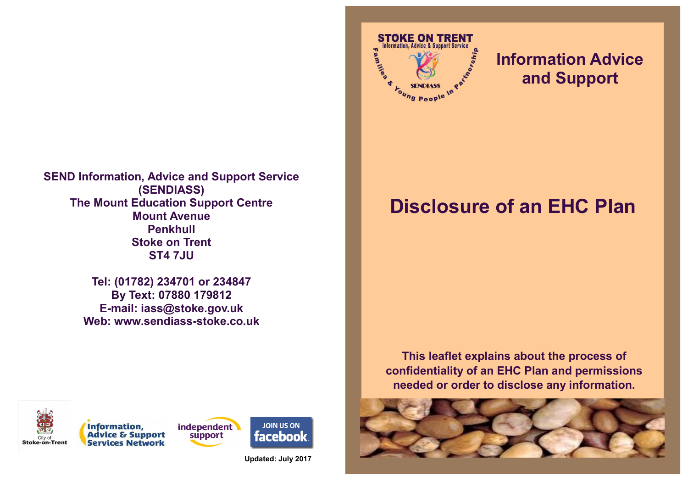**SEND Information, Advice and Support Service (SENDIASS) The Mount Education Support Centre Mount Avenue Penkhull Stoke on Trent ST4 7JU**

> **Tel: (01782) 234701 or 234847 By Text: 07880 179812 E-mail: iass@stoke.gov.uk Web: www.sendiass-stoke.co.uk**





**Updated: July 2017**



## **Information Advice and Support**

## **Disclosure of an EHC Plan**

**This leaflet explains about the process of confidentiality of an EHC Plan and permissions needed or order to disclose any information.**